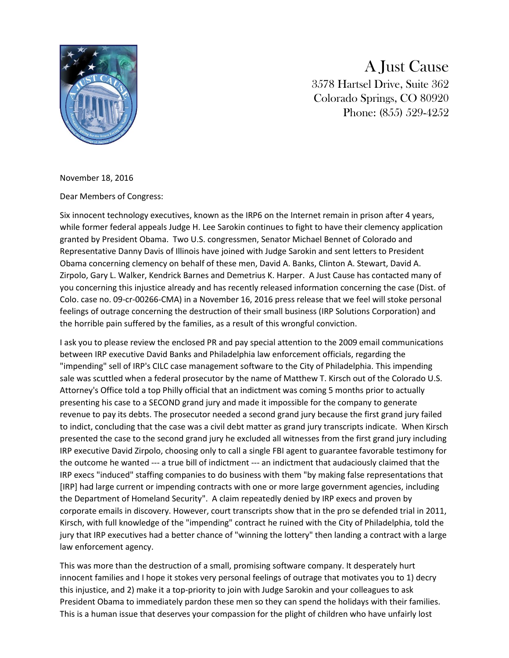

A Just Cause 3578 Hartsel Drive, Suite 362 Colorado Springs, CO 80920 Phone: (855) 529-4252

November 18, 2016

Dear Members of Congress:

Six innocent technology executives, known as the IRP6 on the Internet remain in prison after 4 years, while former federal appeals Judge H. Lee Sarokin continues to fight to have their clemency application granted by President Obama. Two U.S. congressmen, Senator Michael Bennet of Colorado and Representative Danny Davis of Illinois have joined with Judge Sarokin and sent letters to President Obama concerning clemency on behalf of these men, David A. Banks, Clinton A. Stewart, David A. Zirpolo, Gary L. Walker, Kendrick Barnes and Demetrius K. Harper. A Just Cause has contacted many of you concerning this injustice already and has recently released information concerning the case (Dist. of Colo. case no. 09-cr-00266-CMA) in a November 16, 2016 press release that we feel will stoke personal feelings of outrage concerning the destruction of their small business (IRP Solutions Corporation) and the horrible pain suffered by the families, as a result of this wrongful conviction.

I ask you to please review the enclosed PR and pay special attention to the 2009 email communications between IRP executive David Banks and Philadelphia law enforcement officials, regarding the "impending" sell of IRP's CILC case management software to the City of Philadelphia. This impending sale was scuttled when a federal prosecutor by the name of Matthew T. Kirsch out of the Colorado U.S. Attorney's Office told a top Philly official that an indictment was coming 5 months prior to actually presenting his case to a SECOND grand jury and made it impossible for the company to generate revenue to pay its debts. The prosecutor needed a second grand jury because the first grand jury failed to indict, concluding that the case was a civil debt matter as grand jury transcripts indicate. When Kirsch presented the case to the second grand jury he excluded all witnesses from the first grand jury including IRP executive David Zirpolo, choosing only to call a single FBI agent to guarantee favorable testimony for the outcome he wanted --- a true bill of indictment --- an indictment that audaciously claimed that the IRP execs "induced" staffing companies to do business with them "by making false representations that [IRP] had large current or impending contracts with one or more large government agencies, including the Department of Homeland Security". A claim repeatedly denied by IRP execs and proven by corporate emails in discovery. However, court transcripts show that in the pro se defended trial in 2011, Kirsch, with full knowledge of the "impending" contract he ruined with the City of Philadelphia, told the jury that IRP executives had a better chance of "winning the lottery" then landing a contract with a large law enforcement agency.

This was more than the destruction of a small, promising software company. It desperately hurt innocent families and I hope it stokes very personal feelings of outrage that motivates you to 1) decry this injustice, and 2) make it a top-priority to join with Judge Sarokin and your colleagues to ask President Obama to immediately pardon these men so they can spend the holidays with their families. This is a human issue that deserves your compassion for the plight of children who have unfairly lost